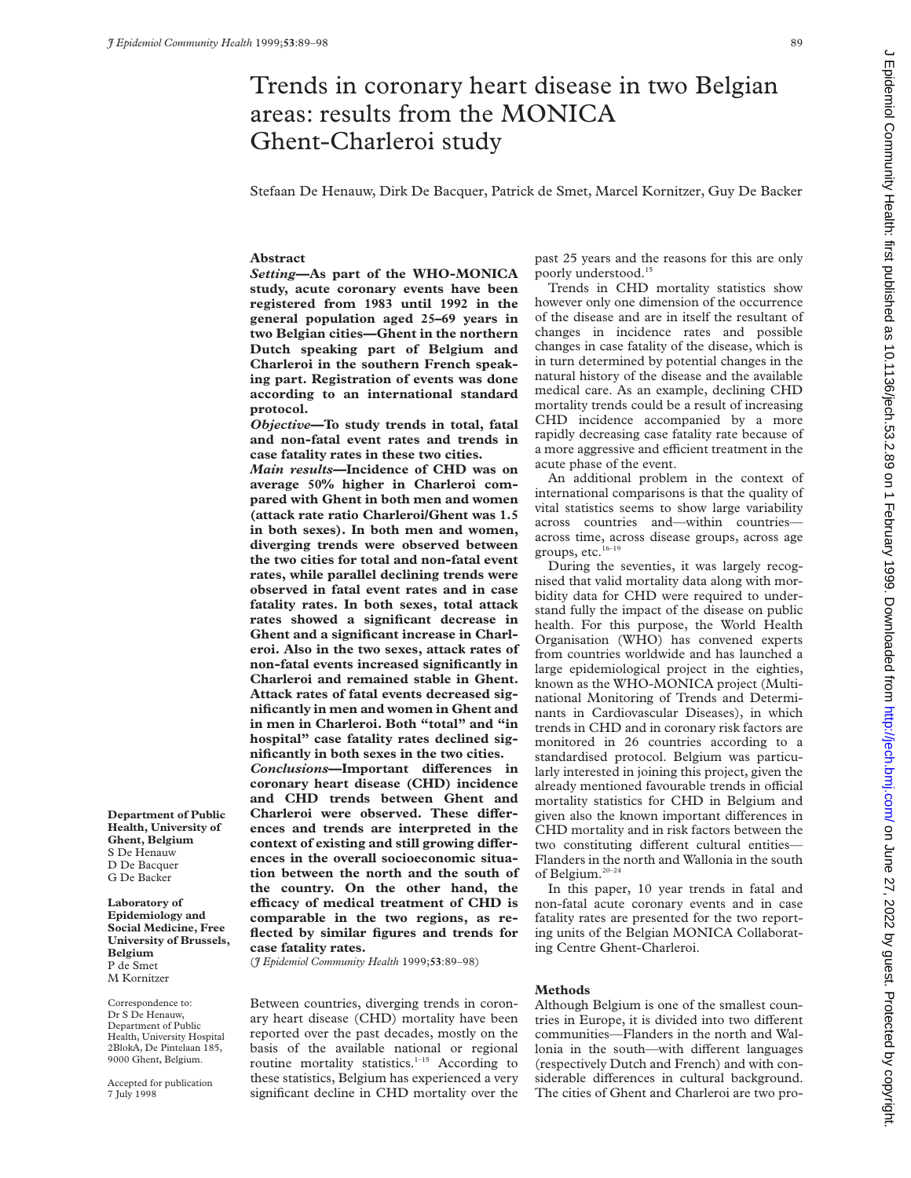# Trends in coronary heart disease in two Belgian areas: results from the MONICA Ghent-Charleroi study

Stefaan De Henauw, Dirk De Bacquer, Patrick de Smet, Marcel Kornitzer, Guy De Backer

# **Abstract**

*Setting***—As part of the WHO-MONICA study, acute coronary events have been registered from 1983 until 1992 in the general population aged 25–69 years in two Belgian cities—Ghent in the northern Dutch speaking part of Belgium and Charleroi in the southern French speaking part. Registration of events was done according to an international standard protocol.**

*Objective***—To study trends in total, fatal and non-fatal event rates and trends in case fatality rates in these two cities.**

*Main results***—Incidence of CHD was on average 50% higher in Charleroi compared with Ghent in both men and women (attack rate ratio Charleroi/Ghent was 1.5 in both sexes). In both men and women, diverging trends were observed between the two cities for total and non-fatal event rates, while parallel declining trends were observed in fatal event rates and in case fatality rates. In both sexes, total attack rates showed a significant decrease in Ghent and a significant increase in Charleroi. Also in the two sexes, attack rates of non-fatal events increased significantly in Charleroi and remained stable in Ghent. Attack rates of fatal events decreased significantly in men and women in Ghent and in men in Charleroi. Both "total" and "in hospital" case fatality rates declined significantly in both sexes in the two cities.**  $Conclusions$ **—Important differences in coronary heart disease (CHD) incidence and CHD trends between Ghent and** Charleroi were observed. These differ**ences and trends are interpreted in the** context of existing and still growing differ**ences in the overall socioeconomic situation between the north and the south of the country. On the other hand, the eYcacy of medical treatment of CHD is comparable in the two regions, as re-**

**Department of Public Health, University of Ghent, Belgium** S De Henauw

D De Bacquer G De Backer

**Laboratory of Epidemiology and Social Medicine, Free University of Brussels, Belgium** P de Smet M Kornitzer

Correspondence to: Dr S De Henauw, Department of Public Health, University Hospital 2BlokA, De Pintelaan 185, 9000 Ghent, Belgium.

Accepted for publication 7 July 1998

(*J Epidemiol Community Health* 1999;**53**:89–98)

**case fatality rates.**

**flected by similar figures and trends for**

Between countries, diverging trends in coronary heart disease (CHD) mortality have been reported over the past decades, mostly on the basis of the available national or regional routine mortality statistics.<sup>1-15</sup> According to these statistics, Belgium has experienced a very significant decline in CHD mortality over the

past 25 years and the reasons for this are only poorly understood.<sup>15</sup>

Trends in CHD mortality statistics show however only one dimension of the occurrence of the disease and are in itself the resultant of changes in incidence rates and possible changes in case fatality of the disease, which is in turn determined by potential changes in the natural history of the disease and the available medical care. As an example, declining CHD mortality trends could be a result of increasing CHD incidence accompanied by a more rapidly decreasing case fatality rate because of a more aggressive and efficient treatment in the acute phase of the event.

An additional problem in the context of international comparisons is that the quality of vital statistics seems to show large variability across countries and—within countries across time, across disease groups, across age groups, etc.<sup>16-19</sup>

During the seventies, it was largely recognised that valid mortality data along with morbidity data for CHD were required to understand fully the impact of the disease on public health. For this purpose, the World Health Organisation (WHO) has convened experts from countries worldwide and has launched a large epidemiological project in the eighties, known as the WHO-MONICA project (Multinational Monitoring of Trends and Determinants in Cardiovascular Diseases), in which trends in CHD and in coronary risk factors are monitored in 26 countries according to a standardised protocol. Belgium was particularly interested in joining this project, given the already mentioned favourable trends in official mortality statistics for CHD in Belgium and given also the known important differences in CHD mortality and in risk factors between the two constituting different cultural entities-Flanders in the north and Wallonia in the south of Belgium.20–24

In this paper, 10 year trends in fatal and non-fatal acute coronary events and in case fatality rates are presented for the two reporting units of the Belgian MONICA Collaborating Centre Ghent-Charleroi.

# **Methods**

Although Belgium is one of the smallest countries in Europe, it is divided into two different communities—Flanders in the north and Wallonia in the south—with different languages (respectively Dutch and French) and with considerable differences in cultural background. The cities of Ghent and Charleroi are two pro-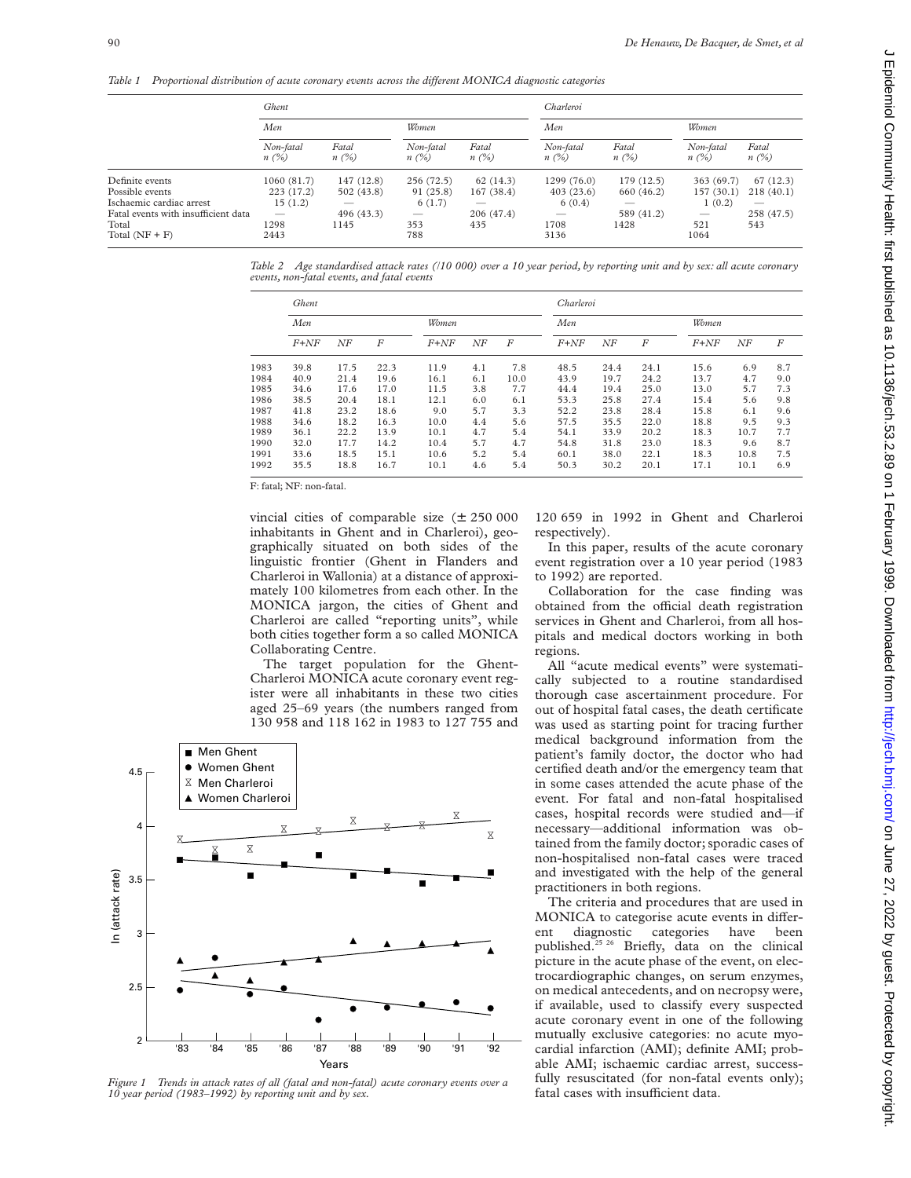*Table 1* Proportional distribution of acute coronary events across the different MONICA diagnostic categories

|                                     | Ghent                    |               |                      |                  | Charleroi                |                  |                      |                  |  |  |
|-------------------------------------|--------------------------|---------------|----------------------|------------------|--------------------------|------------------|----------------------|------------------|--|--|
|                                     | Men                      |               | Women                |                  | Men                      |                  | Women                |                  |  |  |
|                                     | Non-fatal<br>$n(\%)$     | Fatal<br>n(%) | Non-fatal<br>$n(\%)$ | Fatal<br>$n(\%)$ | Non-fatal<br>$n(\%)$     | Fatal<br>$n(\%)$ | Non-fatal<br>$n(\%)$ | Fatal<br>$n(\%)$ |  |  |
| Definite events                     | 1060(81.7)               | 147 (12.8)    | 256 (72.5)           | 62(14.3)         | 1299 (76.0)              | 179 (12.5)       | 363 (69.7)           | 67(12.3)         |  |  |
| Possible events                     | 223 (17.2)               | 502 (43.8)    | 91 (25.8)            | 167(38.4)        | 403(23.6)                | 660 (46.2)       | 157(30.1)            | 218(40.1)        |  |  |
| Ischaemic cardiac arrest            | 15(1.2)                  |               | 6(1.7)               |                  | 6(0.4)                   |                  | 1(0.2)               |                  |  |  |
| Fatal events with insufficient data | $\overline{\phantom{a}}$ | 496 (43.3)    | $\qquad \qquad$      | 206 (47.4)       | $\overline{\phantom{a}}$ | 589 (41.2)       |                      | 258 (47.5)       |  |  |
| Total                               | 1298                     | 1145          | 353                  | 435              | 1708                     | 1428             | 521                  | 543              |  |  |
| Total $(NF + F)$                    | 2443                     |               | 788                  |                  | 3136                     |                  | 1064                 |                  |  |  |

*Table 2 Age standardised attack rates (/10 000) over a 10 year period, by reporting unit and by sex: all acute coronary events, non-fatal events, and fatal events*

|      | Ghent    |      |                  |        |     | Charleroi |          |      |      |          |      |     |
|------|----------|------|------------------|--------|-----|-----------|----------|------|------|----------|------|-----|
|      | Men      |      |                  | Women  |     |           | Men      |      |      | Women    |      |     |
|      | $F + NF$ | NF   | $\boldsymbol{F}$ | $F+NF$ | NF  | F         | $F + NF$ | ΝF   | F    | $F + NF$ | NF   | F   |
| 1983 | 39.8     | 17.5 | 22.3             | 11.9   | 4.1 | 7.8       | 48.5     | 24.4 | 24.1 | 15.6     | 6.9  | 8.7 |
| 1984 | 40.9     | 21.4 | 19.6             | 16.1   | 6.1 | 10.0      | 43.9     | 19.7 | 24.2 | 13.7     | 4.7  | 9.0 |
| 1985 | 34.6     | 17.6 | 17.0             | 11.5   | 3.8 | 7.7       | 44.4     | 19.4 | 25.0 | 13.0     | 5.7  | 7.3 |
| 1986 | 38.5     | 20.4 | 18.1             | 12.1   | 6.0 | 6.1       | 53.3     | 25.8 | 27.4 | 15.4     | 5.6  | 9.8 |
| 1987 | 41.8     | 23.2 | 18.6             | 9.0    | 5.7 | 3.3       | 52.2     | 23.8 | 28.4 | 15.8     | 6.1  | 9.6 |
| 1988 | 34.6     | 18.2 | 16.3             | 10.0   | 4.4 | 5.6       | 57.5     | 35.5 | 22.0 | 18.8     | 9.5  | 9.3 |
| 1989 | 36.1     | 22.2 | 13.9             | 10.1   | 4.7 | 5.4       | 54.1     | 33.9 | 20.2 | 18.3     | 10.7 | 7.7 |
| 1990 | 32.0     | 17.7 | 14.2             | 10.4   | 5.7 | 4.7       | 54.8     | 31.8 | 23.0 | 18.3     | 9.6  | 8.7 |
| 1991 | 33.6     | 18.5 | 15.1             | 10.6   | 5.2 | 5.4       | 60.1     | 38.0 | 22.1 | 18.3     | 10.8 | 7.5 |
| 1992 | 35.5     | 18.8 | 16.7             | 10.1   | 4.6 | 5.4       | 50.3     | 30.2 | 20.1 | 17.1     | 10.1 | 6.9 |

F: fatal; NF: non-fatal.

vincial cities of comparable size  $(\pm 250000$ inhabitants in Ghent and in Charleroi), geographically situated on both sides of the linguistic frontier (Ghent in Flanders and Charleroi in Wallonia) at a distance of approximately 100 kilometres from each other. In the MONICA jargon, the cities of Ghent and Charleroi are called "reporting units", while both cities together form a so called MONICA Collaborating Centre.

The target population for the Ghent-Charleroi MONICA acute coronary event register were all inhabitants in these two cities aged 25–69 years (the numbers ranged from 130 958 and 118 162 in 1983 to 127 755 and



*Figure 1 Trends in attack rates of all (fatal and non-fatal) acute coronary events over a 10 year period (1983–1992) by reporting unit and by sex.*

120 659 in 1992 in Ghent and Charleroi respectively).

In this paper, results of the acute coronary event registration over a 10 year period (1983 to 1992) are reported.

Collaboration for the case finding was obtained from the official death registration services in Ghent and Charleroi, from all hospitals and medical doctors working in both regions.

All "acute medical events" were systematically subjected to a routine standardised thorough case ascertainment procedure. For out of hospital fatal cases, the death certificate was used as starting point for tracing further medical background information from the patient's family doctor, the doctor who had certified death and/or the emergency team that in some cases attended the acute phase of the event. For fatal and non-fatal hospitalised cases, hospital records were studied and—if necessary—additional information was obtained from the family doctor; sporadic cases of non-hospitalised non-fatal cases were traced and investigated with the help of the general practitioners in both regions.

The criteria and procedures that are used in MONICA to categorise acute events in different diagnostic categories have been published.25 26 Briefly, data on the clinical picture in the acute phase of the event, on electrocardiographic changes, on serum enzymes, on medical antecedents, and on necropsy were, if available, used to classify every suspected acute coronary event in one of the following mutually exclusive categories: no acute myocardial infarction (AMI); definite AMI; probable AMI; ischaemic cardiac arrest, successfully resuscitated (for non-fatal events only); fatal cases with insufficient data.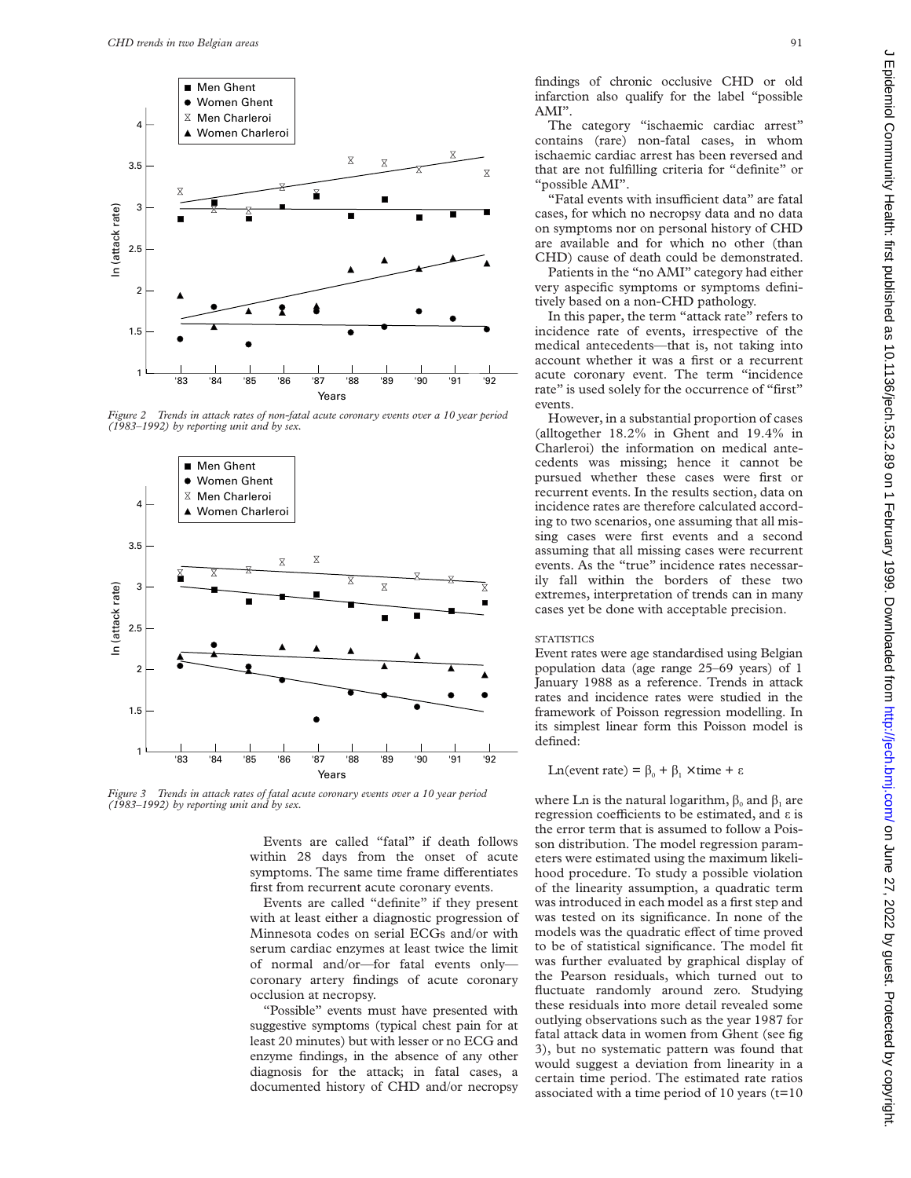

*Figure 2 Trends in attack rates of non-fatal acute coronary events over a 10 year period (1983–1992) by reporting unit and by sex.*



*Figure 3 Trends in attack rates of fatal acute coronary events over a 10 year period (1983–1992) by reporting unit and by sex.*

Events are called "fatal" if death follows within 28 days from the onset of acute symptoms. The same time frame differentiates first from recurrent acute coronary events.

Events are called "definite" if they present with at least either a diagnostic progression of Minnesota codes on serial ECGs and/or with serum cardiac enzymes at least twice the limit of normal and/or—for fatal events only coronary artery findings of acute coronary occlusion at necropsy.

"Possible" events must have presented with suggestive symptoms (typical chest pain for at least 20 minutes) but with lesser or no ECG and enzyme findings, in the absence of any other diagnosis for the attack; in fatal cases, a documented history of CHD and/or necropsy findings of chronic occlusive CHD or old infarction also qualify for the label "possible AMI".

The category "ischaemic cardiac arrest" contains (rare) non-fatal cases, in whom ischaemic cardiac arrest has been reversed and that are not fulfilling criteria for "definite" or "possible AMI".

"Fatal events with insufficient data" are fatal cases, for which no necropsy data and no data on symptoms nor on personal history of CHD are available and for which no other (than CHD) cause of death could be demonstrated.

Patients in the "no AMI" category had either very aspecific symptoms or symptoms definitively based on a non-CHD pathology.

In this paper, the term "attack rate" refers to incidence rate of events, irrespective of the medical antecedents—that is, not taking into account whether it was a first or a recurrent acute coronary event. The term "incidence rate" is used solely for the occurrence of "first" events.

However, in a substantial proportion of cases (alltogether 18.2% in Ghent and 19.4% in Charleroi) the information on medical antecedents was missing; hence it cannot be pursued whether these cases were first or recurrent events. In the results section, data on incidence rates are therefore calculated according to two scenarios, one assuming that all missing cases were first events and a second assuming that all missing cases were recurrent events. As the "true" incidence rates necessarily fall within the borders of these two extremes, interpretation of trends can in many cases yet be done with acceptable precision.

#### **STATISTICS**

Event rates were age standardised using Belgian population data (age range 25–69 years) of 1 January 1988 as a reference. Trends in attack rates and incidence rates were studied in the framework of Poisson regression modelling. In its simplest linear form this Poisson model is defined:

Ln(event rate) =  $\beta_0$  +  $\beta_1$  × time +  $\epsilon$ 

where Ln is the natural logarithm,  $\beta_0$  and  $\beta_1$  are regression coefficients to be estimated, and  $\varepsilon$  is the error term that is assumed to follow a Poisson distribution. The model regression parameters were estimated using the maximum likelihood procedure. To study a possible violation of the linearity assumption, a quadratic term was introduced in each model as a first step and was tested on its significance. In none of the models was the quadratic effect of time proved to be of statistical significance. The model fit was further evaluated by graphical display of the Pearson residuals, which turned out to fluctuate randomly around zero. Studying these residuals into more detail revealed some outlying observations such as the year 1987 for fatal attack data in women from Ghent (see fig 3), but no systematic pattern was found that would suggest a deviation from linearity in a certain time period. The estimated rate ratios associated with a time period of 10 years  $(t=10)$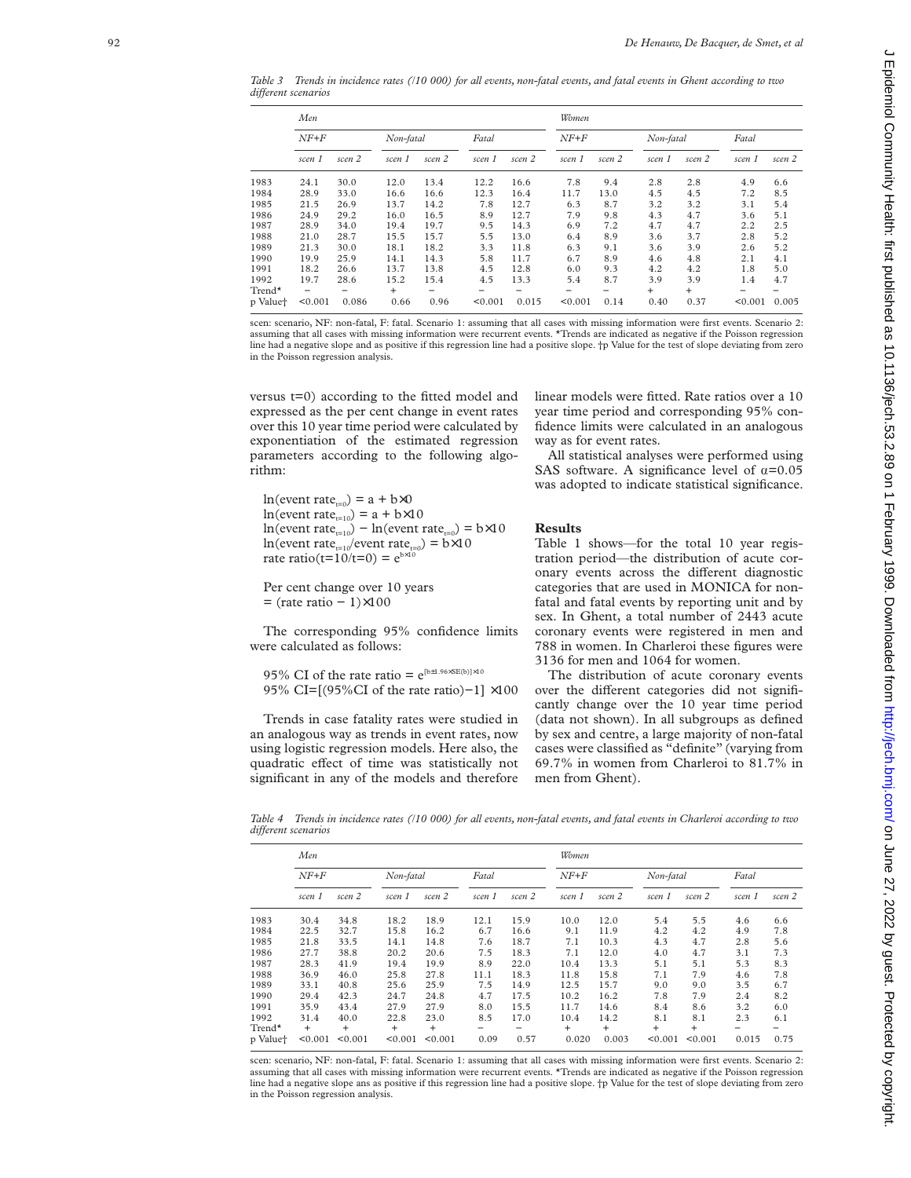*Table 3 Trends in incidence rates (/10 000) for all events, non-fatal events, and fatal events in Ghent according to two diVerent scenarios*

|          | Men     |        |           |        |         | Women  |         |        |           |        |         |        |  |
|----------|---------|--------|-----------|--------|---------|--------|---------|--------|-----------|--------|---------|--------|--|
|          | $NF+F$  |        | Non-fatal |        | Fatal   |        | $NF+F$  |        | Non-fatal |        | Fatal   |        |  |
|          | scen 1  | scen 2 | scen 1    | scen 2 | scen 1  | scen 2 | scen 1  | scen 2 | scen 1    | scen 2 | scen 1  | scen 2 |  |
| 1983     | 24.1    | 30.0   | 12.0      | 13.4   | 12.2    | 16.6   | 7.8     | 9.4    | 2.8       | 2.8    | 4.9     | 6.6    |  |
| 1984     | 28.9    | 33.0   | 16.6      | 16.6   | 12.3    | 16.4   | 11.7    | 13.0   | 4.5       | 4.5    | 7.2     | 8.5    |  |
| 1985     | 21.5    | 26.9   | 13.7      | 14.2   | 7.8     | 12.7   | 6.3     | 8.7    | 3.2       | 3.2    | 3.1     | 5.4    |  |
| 1986     | 24.9    | 29.2   | 16.0      | 16.5   | 8.9     | 12.7   | 7.9     | 9.8    | 4.3       | 4.7    | 3.6     | 5.1    |  |
| 1987     | 28.9    | 34.0   | 19.4      | 19.7   | 9.5     | 14.3   | 6.9     | 7.2    | 4.7       | 4.7    | 2.2     | 2.5    |  |
| 1988     | 21.0    | 28.7   | 15.5      | 15.7   | 5.5     | 13.0   | 6.4     | 8.9    | 3.6       | 3.7    | 2.8     | 5.2    |  |
| 1989     | 21.3    | 30.0   | 18.1      | 18.2   | 3.3     | 11.8   | 6.3     | 9.1    | 3.6       | 3.9    | 2.6     | 5.2    |  |
| 1990     | 19.9    | 25.9   | 14.1      | 14.3   | 5.8     | 11.7   | 6.7     | 8.9    | 4.6       | 4.8    | 2.1     | 4.1    |  |
| 1991     | 18.2    | 26.6   | 13.7      | 13.8   | 4.5     | 12.8   | 6.0     | 9.3    | 4.2       | 4.2    | 1.8     | 5.0    |  |
| 1992     | 19.7    | 28.6   | 15.2      | 15.4   | 4.5     | 13.3   | 5.4     | 8.7    | 3.9       | 3.9    | 1.4     | 4.7    |  |
| $Trend*$ |         |        | $\ddot{}$ |        |         |        |         |        | $+$       | $+$    |         |        |  |
| p Value† | < 0.001 | 0.086  | 0.66      | 0.96   | < 0.001 | 0.015  | < 0.001 | 0.14   | 0.40      | 0.37   | < 0.001 | 0.005  |  |
|          |         |        |           |        |         |        |         |        |           |        |         |        |  |

scen: scenario, NF: non-fatal, F: fatal. Scenario 1: assuming that all cases with missing information were first events. Scenario 2: assuming that all cases with missing information were recurrent events. \*Trends are indicated as negative if the Poisson regression line had a negative slope and as positive if this regression line had a positive slope. †p Value for the test of slope deviating from zero in the Poisson regression analysis.

versus t=0) according to the fitted model and expressed as the per cent change in event rates over this 10 year time period were calculated by exponentiation of the estimated regression parameters according to the following algorithm:

 $ln(event rate_{t=0}) = a + b \times 0$  $ln(event rate_{t=10}) = a + b \times 10$  $\ln(\text{event rate}_{t=10}) - \ln(\text{event rate}_{t=0}) = \frac{b \times 10}{2}$ ln(event rate<sub>t=10</sub>/event rate<sub>t=0</sub>) = b×10<br>rate ratio(t=10/t=0) =  $e^{b \times 10}$ rate ratio(t= $10/t=0$ ) =  $e^b$ 

Per cent change over 10 years = (rate ratio − 1) ×100

The corresponding 95% confidence limits were calculated as follows:

95% CI of the rate ratio =  $e^{[b \pm 1.96 \times SE(b)] \times 10}$ 95% CI=[(95%CI of the rate ratio)-1] ×100

Trends in case fatality rates were studied in an analogous way as trends in event rates, now using logistic regression models. Here also, the quadratic effect of time was statistically not significant in any of the models and therefore linear models were fitted. Rate ratios over a 10 year time period and corresponding 95% confidence limits were calculated in an analogous way as for event rates.

All statistical analyses were performed using SAS software. A significance level of  $\alpha = 0.05$ was adopted to indicate statistical significance.

# **Results**

Table 1 shows—for the total 10 year registration period—the distribution of acute coronary events across the different diagnostic categories that are used in MONICA for nonfatal and fatal events by reporting unit and by sex. In Ghent, a total number of 2443 acute coronary events were registered in men and 788 in women. In Charleroi these figures were 3136 for men and 1064 for women.

The distribution of acute coronary events over the different categories did not significantly change over the 10 year time period (data not shown). In all subgroups as defined by sex and centre, a large majority of non-fatal cases were classified as "definite" (varying from 69.7% in women from Charleroi to 81.7% in men from Ghent).

*Table 4 Trends in incidence rates (/10 000) for all events, non-fatal events, and fatal events in Charleroi according to two diVerent scenarios*

|          | Men     |           |           |         |        |        |        | Women  |           |         |        |        |  |  |
|----------|---------|-----------|-----------|---------|--------|--------|--------|--------|-----------|---------|--------|--------|--|--|
|          | $NF+F$  |           | Non-fatal |         | Fatal  |        | $NF+F$ |        | Non-fatal |         | Fatal  |        |  |  |
|          | scen 1  | scen 2    | scen 1    | scen 2  | scen 1 | scen 2 | scen 1 | scen 2 | scen 1    | scen 2  | scen 1 | scen 2 |  |  |
| 1983     | 30.4    | 34.8      | 18.2      | 18.9    | 12.1   | 15.9   | 10.0   | 12.0   | 5.4       | 5.5     | 4.6    | 6.6    |  |  |
| 1984     | 22.5    | 32.7      | 15.8      | 16.2    | 6.7    | 16.6   | 9.1    | 11.9   | 4.2       | 4.2     | 4.9    | 7.8    |  |  |
| 1985     | 21.8    | 33.5      | 14.1      | 14.8    | 7.6    | 18.7   | 7.1    | 10.3   | 4.3       | 4.7     | 2.8    | 5.6    |  |  |
| 1986     | 27.7    | 38.8      | 20.2      | 20.6    | 7.5    | 18.3   | 7.1    | 12.0   | 4.0       | 4.7     | 3.1    | 7.3    |  |  |
| 1987     | 28.3    | 41.9      | 19.4      | 19.9    | 8.9    | 22.0   | 10.4   | 13.3   | 5.1       | 5.1     | 5.3    | 8.3    |  |  |
| 1988     | 36.9    | 46.0      | 25.8      | 27.8    | 11.1   | 18.3   | 11.8   | 15.8   | 7.1       | 7.9     | 4.6    | 7.8    |  |  |
| 1989     | 33.1    | 40.8      | 25.6      | 25.9    | 7.5    | 14.9   | 12.5   | 15.7   | 9.0       | 9.0     | 3.5    | 6.7    |  |  |
| 1990     | 29.4    | 42.3      | 24.7      | 24.8    | 4.7    | 17.5   | 10.2   | 16.2   | 7.8       | 7.9     | 2.4    | 8.2    |  |  |
| 1991     | 35.9    | 43.4      | 27.9      | 27.9    | 8.0    | 15.5   | 11.7   | 14.6   | 8.4       | 8.6     | 3.2    | 6.0    |  |  |
| 1992     | 31.4    | 40.0      | 22.8      | 23.0    | 8.5    | 17.0   | 10.4   | 14.2   | 8.1       | 8.1     | 2.3    | 6.1    |  |  |
| $Trend*$ | $+$     | $\ddot{}$ | $+$       | $^{+}$  |        |        | $^{+}$ | $+$    | $\ddot{}$ | $+$     |        |        |  |  |
| p Value† | < 0.001 | < 0.001   | < 0.001   | < 0.001 | 0.09   | 0.57   | 0.020  | 0.003  | < 0.001   | < 0.001 | 0.015  | 0.75   |  |  |
|          |         |           |           |         |        |        |        |        |           |         |        |        |  |  |

scen: scenario, NF: non-fatal, F: fatal. Scenario 1: assuming that all cases with missing information were first events. Scenario 2: assuming that all cases with missing information were recurrent events. \*Trends are indicated as negative if the Poisson regression line had a negative slope ans as positive if this regression line had a positive slope. †p Value for the test of slope deviating from zero in the Poisson regression analysis.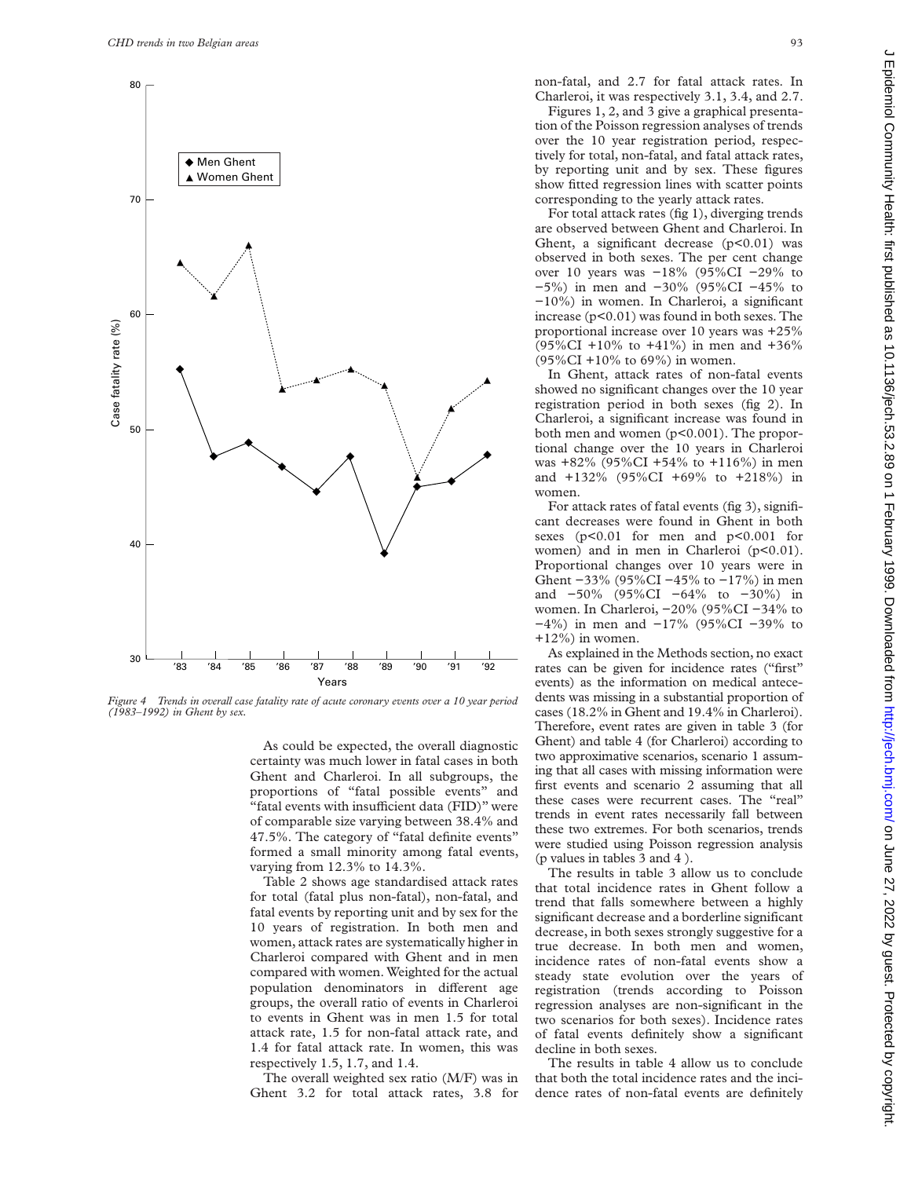

*Figure 4 Trends in overall case fatality rate of acute coronary events over a 10 year period (1983–1992) in Ghent by sex.*

As could be expected, the overall diagnostic certainty was much lower in fatal cases in both Ghent and Charleroi. In all subgroups, the proportions of "fatal possible events" and "fatal events with insufficient data (FID)" were of comparable size varying between 38.4% and 47.5%. The category of "fatal definite events" formed a small minority among fatal events, varying from 12.3% to 14.3%.

Table 2 shows age standardised attack rates for total (fatal plus non-fatal), non-fatal, and fatal events by reporting unit and by sex for the 10 years of registration. In both men and women, attack rates are systematically higher in Charleroi compared with Ghent and in men compared with women. Weighted for the actual population denominators in different age groups, the overall ratio of events in Charleroi to events in Ghent was in men 1.5 for total attack rate, 1.5 for non-fatal attack rate, and 1.4 for fatal attack rate. In women, this was respectively 1.5, 1.7, and 1.4.

The overall weighted sex ratio (M/F) was in Ghent 3.2 for total attack rates, 3.8 for

non-fatal, and 2.7 for fatal attack rates. In Charleroi, it was respectively 3.1, 3.4, and 2.7.

Figures 1, 2, and 3 give a graphical presentation of the Poisson regression analyses of trends over the 10 year registration period, respectively for total, non-fatal, and fatal attack rates, by reporting unit and by sex. These figures show fitted regression lines with scatter points corresponding to the yearly attack rates.

For total attack rates (fig 1), diverging trends are observed between Ghent and Charleroi. In Ghent, a significant decrease  $(p<0.01)$  was observed in both sexes. The per cent change over 10 years was −18% (95%CI −29% to −5%) in men and −30% (95%CI −45% to −10%) in women. In Charleroi, a significant increase (p<0.01) was found in both sexes. The proportional increase over 10 years was +25% (95%CI +10% to +41%) in men and +36% (95%CI +10% to 69%) in women.

In Ghent, attack rates of non-fatal events showed no significant changes over the 10 year registration period in both sexes (fig 2). In Charleroi, a significant increase was found in both men and women (p<0.001). The proportional change over the 10 years in Charleroi was +82% (95%CI +54% to +116%) in men and +132% (95%CI +69% to +218%) in women.

For attack rates of fatal events (fig 3), significant decreases were found in Ghent in both sexes (p<0.01 for men and p<0.001 for women) and in men in Charleroi  $(p<0.01)$ . Proportional changes over 10 years were in Ghent −33% (95%CI −45% to −17%) in men and −50% (95%CI −64% to −30%) in women. In Charleroi, −20% (95%CI −34% to −4%) in men and −17% (95%CI −39% to  $+12\%$ ) in women.

As explained in the Methods section, no exact rates can be given for incidence rates ("first" events) as the information on medical antecedents was missing in a substantial proportion of cases (18.2% in Ghent and 19.4% in Charleroi). Therefore, event rates are given in table 3 (for Ghent) and table 4 (for Charleroi) according to two approximative scenarios, scenario 1 assuming that all cases with missing information were first events and scenario 2 assuming that all these cases were recurrent cases. The "real" trends in event rates necessarily fall between these two extremes. For both scenarios, trends were studied using Poisson regression analysis (p values in tables 3 and 4 ).

The results in table 3 allow us to conclude that total incidence rates in Ghent follow a trend that falls somewhere between a highly significant decrease and a borderline significant decrease, in both sexes strongly suggestive for a true decrease. In both men and women, incidence rates of non-fatal events show a steady state evolution over the years of registration (trends according to Poisson regression analyses are non-significant in the two scenarios for both sexes). Incidence rates of fatal events definitely show a significant decline in both sexes.

The results in table 4 allow us to conclude that both the total incidence rates and the incidence rates of non-fatal events are definitely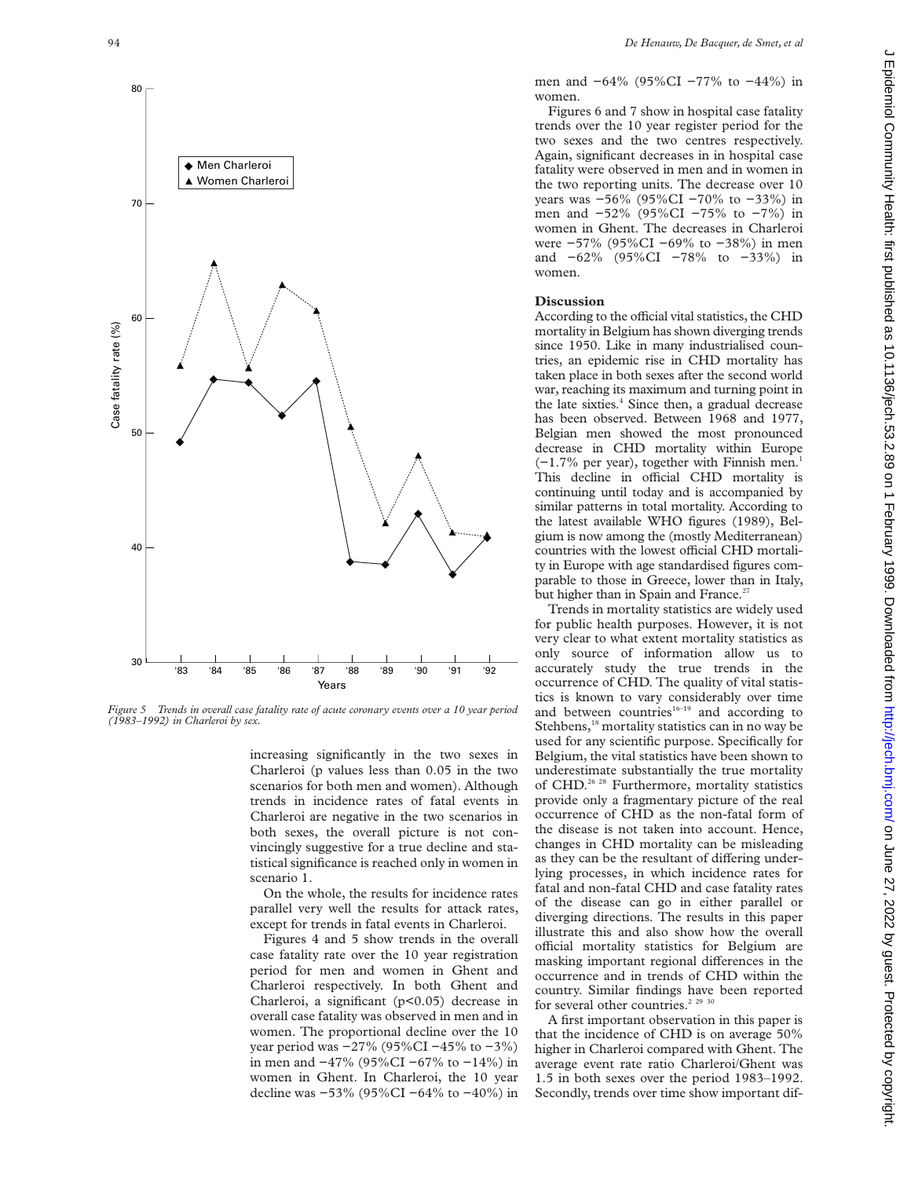

*Figure 5 Trends in overall case fatality rate of acute coronary events over a 10 year period (1983–1992) in Charleroi by sex.*

increasing significantly in the two sexes in Charleroi (p values less than 0.05 in the two scenarios for both men and women). Although trends in incidence rates of fatal events in Charleroi are negative in the two scenarios in both sexes, the overall picture is not convincingly suggestive for a true decline and statistical significance is reached only in women in scenario 1.

On the whole, the results for incidence rates parallel very well the results for attack rates, except for trends in fatal events in Charleroi.

Figures 4 and 5 show trends in the overall case fatality rate over the 10 year registration period for men and women in Ghent and Charleroi respectively. In both Ghent and Charleroi, a significant (p<0.05) decrease in overall case fatality was observed in men and in women. The proportional decline over the 10 year period was −27% (95%CI −45% to −3%) in men and −47% (95%CI −67% to −14%) in women in Ghent. In Charleroi, the 10 year decline was −53% (95%CI −64% to −40%) in men and −64% (95%CI −77% to −44%) in women.

Figures 6 and 7 show in hospital case fatality trends over the 10 year register period for the two sexes and the two centres respectively. Again, significant decreases in in hospital case fatality were observed in men and in women in the two reporting units. The decrease over 10 years was −56% (95%CI −70% to −33%) in men and −52% (95%CI −75% to −7%) in women in Ghent. The decreases in Charleroi were −57% (95%CI −69% to −38%) in men and −62% (95%CI −78% to −33%) in women.

# **Discussion**

According to the official vital statistics, the CHD mortality in Belgium has shown diverging trends since 1950. Like in many industrialised countries, an epidemic rise in CHD mortality has taken place in both sexes after the second world war, reaching its maximum and turning point in the late sixties. $4$  Since then, a gradual decrease has been observed. Between 1968 and 1977, Belgian men showed the most pronounced decrease in CHD mortality within Europe  $(-1.7\%$  per year), together with Finnish men.<sup>1</sup> This decline in official CHD mortality is continuing until today and is accompanied by similar patterns in total mortality. According to the latest available WHO figures (1989), Belgium is now among the (mostly Mediterranean) countries with the lowest official CHD mortality in Europe with age standardised figures comparable to those in Greece, lower than in Italy, but higher than in Spain and France.<sup>27</sup>

Trends in mortality statistics are widely used for public health purposes. However, it is not very clear to what extent mortality statistics as only source of information allow us to accurately study the true trends in the occurrence of CHD. The quality of vital statistics is known to vary considerably over time and between countries $16-19}$  and according to Stehbens,<sup>18</sup> mortality statistics can in no way be used for any scientific purpose. Specifically for Belgium, the vital statistics have been shown to underestimate substantially the true mortality of CHD.<sup>26 28</sup> Furthermore, mortality statistics provide only a fragmentary picture of the real occurrence of CHD as the non-fatal form of the disease is not taken into account. Hence, changes in CHD mortality can be misleading as they can be the resultant of differing underlying processes, in which incidence rates for fatal and non-fatal CHD and case fatality rates of the disease can go in either parallel or diverging directions. The results in this paper illustrate this and also show how the overall official mortality statistics for Belgium are masking important regional differences in the occurrence and in trends of CHD within the country. Similar findings have been reported for several other countries.<sup>2 29</sup>

A first important observation in this paper is that the incidence of CHD is on average 50% higher in Charleroi compared with Ghent. The average event rate ratio Charleroi/Ghent was 1.5 in both sexes over the period 1983–1992. Secondly, trends over time show important dif-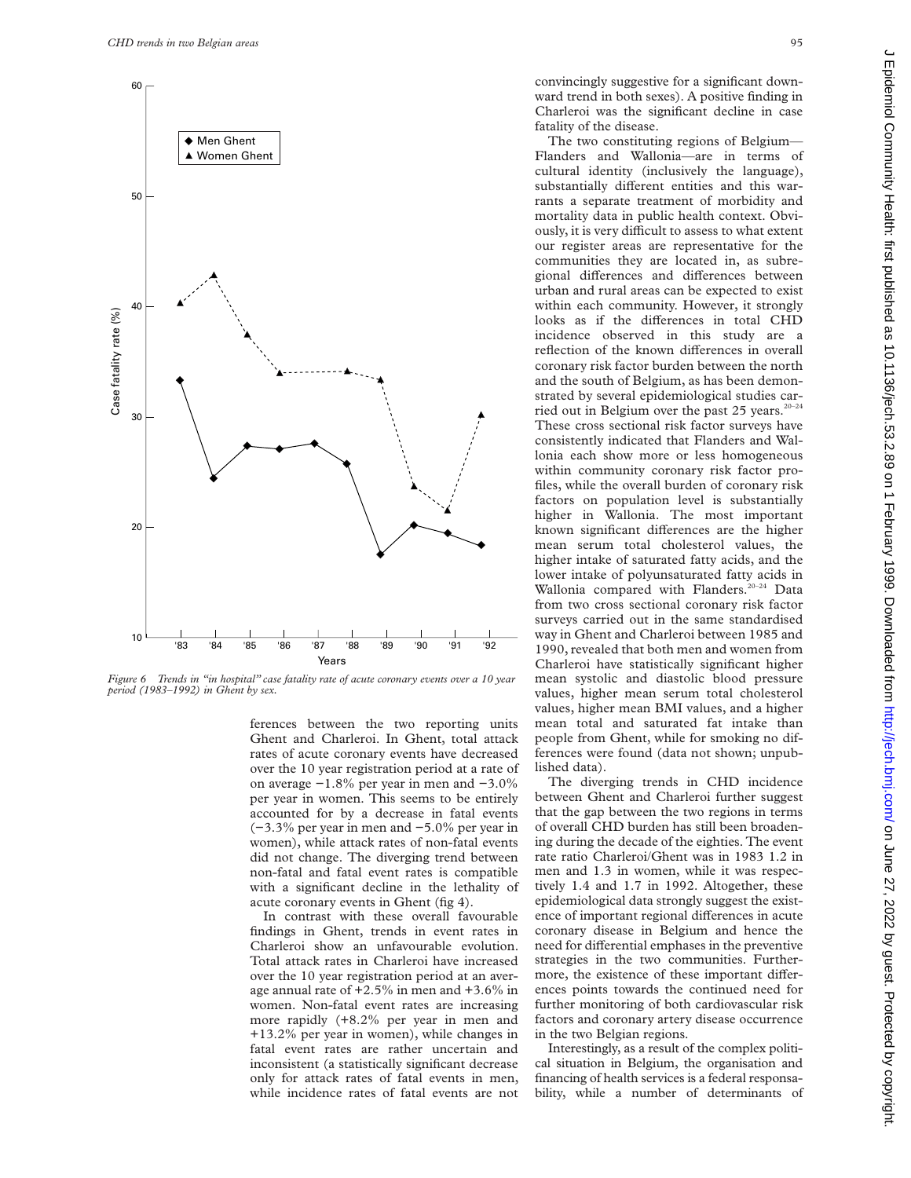

*Figure 6 Trends in "in hospital" case fatality rate of acute coronary events over a 10 year period (1983–1992) in Ghent by sex.*

ferences between the two reporting units Ghent and Charleroi. In Ghent, total attack rates of acute coronary events have decreased over the 10 year registration period at a rate of on average −1.8% per year in men and −3.0% per year in women. This seems to be entirely accounted for by a decrease in fatal events (−3.3% per year in men and −5.0% per year in women), while attack rates of non-fatal events did not change. The diverging trend between non-fatal and fatal event rates is compatible with a significant decline in the lethality of acute coronary events in Ghent (fig 4).

In contrast with these overall favourable findings in Ghent, trends in event rates in Charleroi show an unfavourable evolution. Total attack rates in Charleroi have increased over the 10 year registration period at an average annual rate of +2.5% in men and +3.6% in women. Non-fatal event rates are increasing more rapidly (+8.2% per year in men and +13.2% per year in women), while changes in fatal event rates are rather uncertain and inconsistent (a statistically significant decrease only for attack rates of fatal events in men, while incidence rates of fatal events are not convincingly suggestive for a significant downward trend in both sexes). A positive finding in Charleroi was the significant decline in case fatality of the disease.

The two constituting regions of Belgium— Flanders and Wallonia—are in terms of cultural identity (inclusively the language), substantially different entities and this warrants a separate treatment of morbidity and mortality data in public health context. Obviously, it is very difficult to assess to what extent our register areas are representative for the communities they are located in, as subregional differences and differences between urban and rural areas can be expected to exist within each community. However, it strongly looks as if the differences in total CHD incidence observed in this study are a reflection of the known differences in overall coronary risk factor burden between the north and the south of Belgium, as has been demonstrated by several epidemiological studies carried out in Belgium over the past 25 years.<sup>20-24</sup> These cross sectional risk factor surveys have consistently indicated that Flanders and Wallonia each show more or less homogeneous within community coronary risk factor profiles, while the overall burden of coronary risk factors on population level is substantially higher in Wallonia. The most important known significant differences are the higher mean serum total cholesterol values, the higher intake of saturated fatty acids, and the lower intake of polyunsaturated fatty acids in Wallonia compared with Flanders.<sup>20-24</sup> Data from two cross sectional coronary risk factor surveys carried out in the same standardised way in Ghent and Charleroi between 1985 and 1990, revealed that both men and women from Charleroi have statistically significant higher mean systolic and diastolic blood pressure values, higher mean serum total cholesterol values, higher mean BMI values, and a higher mean total and saturated fat intake than people from Ghent, while for smoking no differences were found (data not shown; unpublished data).

The diverging trends in CHD incidence between Ghent and Charleroi further suggest that the gap between the two regions in terms of overall CHD burden has still been broadening during the decade of the eighties. The event rate ratio Charleroi/Ghent was in 1983 1.2 in men and 1.3 in women, while it was respectively 1.4 and 1.7 in 1992. Altogether, these epidemiological data strongly suggest the existence of important regional differences in acute coronary disease in Belgium and hence the need for differential emphases in the preventive strategies in the two communities. Furthermore, the existence of these important differences points towards the continued need for further monitoring of both cardiovascular risk factors and coronary artery disease occurrence in the two Belgian regions.

Interestingly, as a result of the complex political situation in Belgium, the organisation and financing of health services is a federal responsability, while a number of determinants of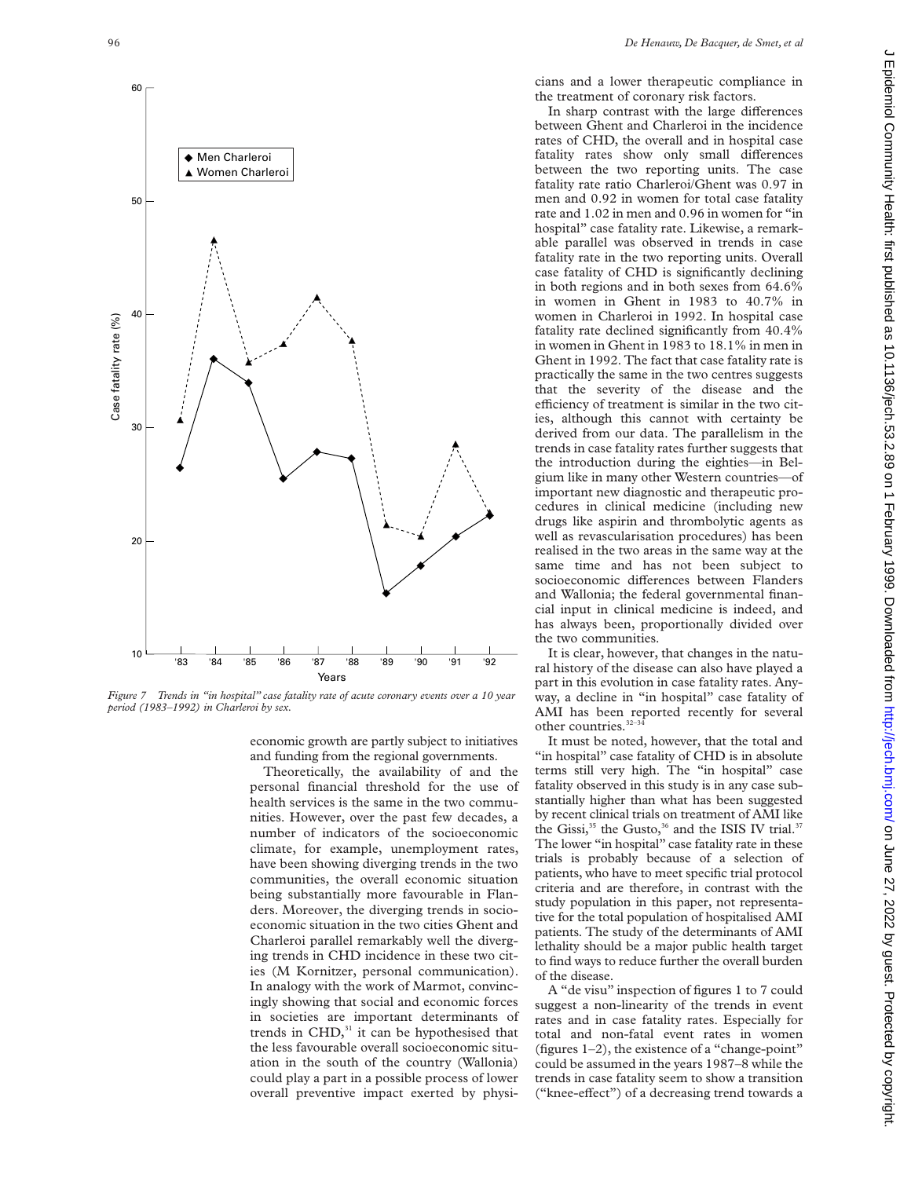

*Figure 7 Trends in "in hospital" case fatality rate of acute coronary events over a 10 year period (1983–1992) in Charleroi by sex.*

economic growth are partly subject to initiatives and funding from the regional governments.

Theoretically, the availability of and the personal financial threshold for the use of health services is the same in the two communities. However, over the past few decades, a number of indicators of the socioeconomic climate, for example, unemployment rates, have been showing diverging trends in the two communities, the overall economic situation being substantially more favourable in Flanders. Moreover, the diverging trends in socioeconomic situation in the two cities Ghent and Charleroi parallel remarkably well the diverging trends in CHD incidence in these two cities (M Kornitzer, personal communication). In analogy with the work of Marmot, convincingly showing that social and economic forces in societies are important determinants of trends in  $CHD<sub>31</sub>$  it can be hypothesised that the less favourable overall socioeconomic situation in the south of the country (Wallonia) could play a part in a possible process of lower overall preventive impact exerted by physicians and a lower therapeutic compliance in the treatment of coronary risk factors.

In sharp contrast with the large differences between Ghent and Charleroi in the incidence rates of CHD, the overall and in hospital case fatality rates show only small differences between the two reporting units. The case fatality rate ratio Charleroi/Ghent was 0.97 in men and 0.92 in women for total case fatality rate and 1.02 in men and 0.96 in women for "in hospital" case fatality rate. Likewise, a remarkable parallel was observed in trends in case fatality rate in the two reporting units. Overall case fatality of CHD is significantly declining in both regions and in both sexes from 64.6% in women in Ghent in 1983 to 40.7% in women in Charleroi in 1992. In hospital case fatality rate declined significantly from 40.4% in women in Ghent in 1983 to 18.1% in men in Ghent in 1992. The fact that case fatality rate is practically the same in the two centres suggests that the severity of the disease and the efficiency of treatment is similar in the two cities, although this cannot with certainty be derived from our data. The parallelism in the trends in case fatality rates further suggests that the introduction during the eighties—in Belgium like in many other Western countries—of important new diagnostic and therapeutic procedures in clinical medicine (including new drugs like aspirin and thrombolytic agents as well as revascularisation procedures) has been realised in the two areas in the same way at the same time and has not been subject to socioeconomic differences between Flanders and Wallonia; the federal governmental financial input in clinical medicine is indeed, and has always been, proportionally divided over the two communities.

It is clear, however, that changes in the natural history of the disease can also have played a part in this evolution in case fatality rates. Anyway, a decline in "in hospital" case fatality of AMI has been reported recently for several other countries.<sup>32-34</sup>

It must be noted, however, that the total and "in hospital" case fatality of CHD is in absolute terms still very high. The "in hospital" case fatality observed in this study is in any case substantially higher than what has been suggested by recent clinical trials on treatment of AMI like the Gissi, $35$  the Gusto, $36$  and the ISIS IV trial. $37$ The lower "in hospital" case fatality rate in these trials is probably because of a selection of patients, who have to meet specific trial protocol criteria and are therefore, in contrast with the study population in this paper, not representative for the total population of hospitalised AMI patients. The study of the determinants of AMI lethality should be a major public health target to find ways to reduce further the overall burden of the disease.

A "de visu" inspection of figures 1 to 7 could suggest a non-linearity of the trends in event rates and in case fatality rates. Especially for total and non-fatal event rates in women (figures 1–2), the existence of a "change-point" could be assumed in the years 1987–8 while the trends in case fatality seem to show a transition ("knee-effect") of a decreasing trend towards a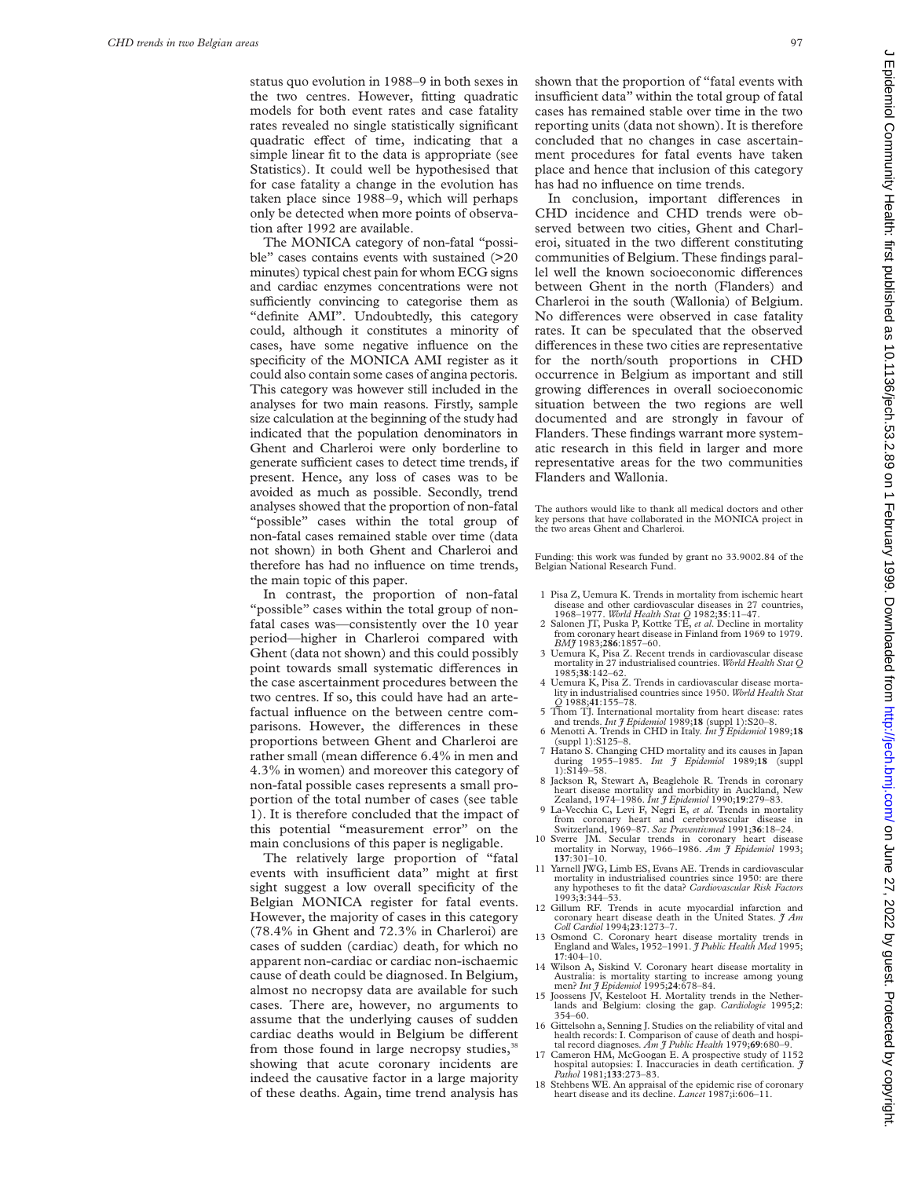status quo evolution in 1988–9 in both sexes in the two centres. However, fitting quadratic models for both event rates and case fatality rates revealed no single statistically significant quadratic effect of time, indicating that a simple linear fit to the data is appropriate (see Statistics). It could well be hypothesised that for case fatality a change in the evolution has taken place since 1988–9, which will perhaps only be detected when more points of observation after 1992 are available.

The MONICA category of non-fatal "possible" cases contains events with sustained (>20 minutes) typical chest pain for whom ECG signs and cardiac enzymes concentrations were not sufficiently convincing to categorise them as "definite AMI". Undoubtedly, this category could, although it constitutes a minority of cases, have some negative influence on the specificity of the MONICA AMI register as it could also contain some cases of angina pectoris. This category was however still included in the analyses for two main reasons. Firstly, sample size calculation at the beginning of the study had indicated that the population denominators in Ghent and Charleroi were only borderline to generate sufficient cases to detect time trends, if present. Hence, any loss of cases was to be avoided as much as possible. Secondly, trend analyses showed that the proportion of non-fatal "possible" cases within the total group of non-fatal cases remained stable over time (data not shown) in both Ghent and Charleroi and therefore has had no influence on time trends, the main topic of this paper.

In contrast, the proportion of non-fatal "possible" cases within the total group of nonfatal cases was—consistently over the 10 year period—higher in Charleroi compared with Ghent (data not shown) and this could possibly point towards small systematic differences in the case ascertainment procedures between the two centres. If so, this could have had an artefactual influence on the between centre comparisons. However, the differences in these proportions between Ghent and Charleroi are rather small (mean difference 6.4% in men and 4.3% in women) and moreover this category of non-fatal possible cases represents a small proportion of the total number of cases (see table 1). It is therefore concluded that the impact of this potential "measurement error" on the main conclusions of this paper is negligable.

The relatively large proportion of "fatal events with insufficient data" might at first sight suggest a low overall specificity of the Belgian MONICA register for fatal events. However, the majority of cases in this category (78.4% in Ghent and 72.3% in Charleroi) are cases of sudden (cardiac) death, for which no apparent non-cardiac or cardiac non-ischaemic cause of death could be diagnosed. In Belgium, almost no necropsy data are available for such cases. There are, however, no arguments to assume that the underlying causes of sudden cardiac deaths would in Belgium be different from those found in large necropsy studies,<sup>38</sup> showing that acute coronary incidents are indeed the causative factor in a large majority of these deaths. Again, time trend analysis has

shown that the proportion of "fatal events with insufficient data" within the total group of fatal cases has remained stable over time in the two reporting units (data not shown). It is therefore concluded that no changes in case ascertainment procedures for fatal events have taken place and hence that inclusion of this category has had no influence on time trends.

In conclusion, important differences in CHD incidence and CHD trends were observed between two cities, Ghent and Charleroi, situated in the two different constituting communities of Belgium. These findings parallel well the known socioeconomic differences between Ghent in the north (Flanders) and Charleroi in the south (Wallonia) of Belgium. No differences were observed in case fatality rates. It can be speculated that the observed differences in these two cities are representative for the north/south proportions in CHD occurrence in Belgium as important and still growing differences in overall socioeconomic situation between the two regions are well documented and are strongly in favour of Flanders. These findings warrant more systematic research in this field in larger and more representative areas for the two communities Flanders and Wallonia.

The authors would like to thank all medical doctors and other key persons that have collaborated in the MONICA project in the two areas Ghent and Charleroi.

Funding: this work was funded by grant no 33.9002.84 of the Belgian National Research Fund.

- 1 Pisa Z, Uemura K. Trends in mortality from ischemic heart disease and other cardiovascular diseases in 27 countries,
- 1968–1977. *World Health Stat Q* 1982;**35**:11–47. 2 Salonen JT, Puska P, Kottke TE, *et al*. Decline in mortality from coronary heart disease in Finland from 1969 to 1979.<br>BM7 1983:286:1857-60.
- *BMJ* 1983;**286**:1857–60. 3 Uemura K, Pisa Z. Recent trends in cardiovascular disease mortality in 27 industrialised countries. *World Health Stat Q*
- 1985;**38**:142–62. 4 Uemura K, Pisa Z. Trends in cardiovascular disease mortality in industrialised countries since 1950. *World Health Stat*
- *Q* 1988;**41**:155–78. 5 Thom TJ. International mortality from heart disease: rates and trends. *Int J Epidemiol* 1989;**18** (suppl 1):S20–8.
- 6 Menotti A. Trends in CHD in Italy. *Int J Epidemiol* 1989;**18** (suppl 1):S125–8. 7 Hatano S. Changing CHD mortality and its causes in Japan
- during 1955–1985. *Int J Epidemiol* 1989;**18** (suppl during 195<br>1):S149–58.
- 8 Jackson R, Stewart A, Beaglehole R. Trends in coronary heart disease mortality and morbidity in Auckland, New Zealand, 1974–1986. *Int J Epidemiol* 1990;**19**:279–83. 9 La-Vecchia C, Levi F, Negri E, *et al*. Trends in mortality
- from coronary heart and cerebrovascular disease in Switzerland, 1969–87. *Soz Praventivmed* 1991;**36**:18–24.
- 10 Sverre JM. Secular trends in coronary heart disease mortality in Norway, 1966–1986. *Am J Epidemiol* 1993;
- **<sup>137</sup>**:301–10. 11 Yarnell JWG, Limb ES, Evans AE. Trends in cardiovascular mortality in industrialised countries since 1950: are there any hypotheses to fit the data? *Cardiovascular Risk Factors* 1993;**3**:344–53.
- 12 Gillum RF. Trends in acute myocardial infarction and coronary heart disease death in the United States. *J Am Coll Cardiol* 1994;**23**:1273–7.
- 13 Osmond C. Coronary heart disease mortality trends in England and Wales, 1952–1991. *J Public Health Med* 1995;
- **17**:404–10. 14 Wilson A, Siskind V. Coronary heart disease mortality in Australia: is mortality starting to increase among young men? *Int J Epidemiol* 1995;**24**:678–84.
- 15 Joossens JV, Kesteloot H. Mortality trends in the Netherlands and Belgium: closing the gap. *Cardiologie* 1995;**2**: 354–60.
- 16 Gittelsohn a, Senning J. Studies on the reliability of vital and health records: I. Comparison of cause of death and hospi-tal record diagnoses. *Am J Public Health* 1979;**69**:680–9.
- 17 Cameron HM, McGoogan E. A prospective study of 1152 hospital autopsies: I. Inaccuracies in death certification. *J Pathol* 1981;**133**:273–83.
- 18 Stehbens WE. An appraisal of the epidemic rise of coronary heart disease and its decline. *Lancet* 1987;i:606–11.